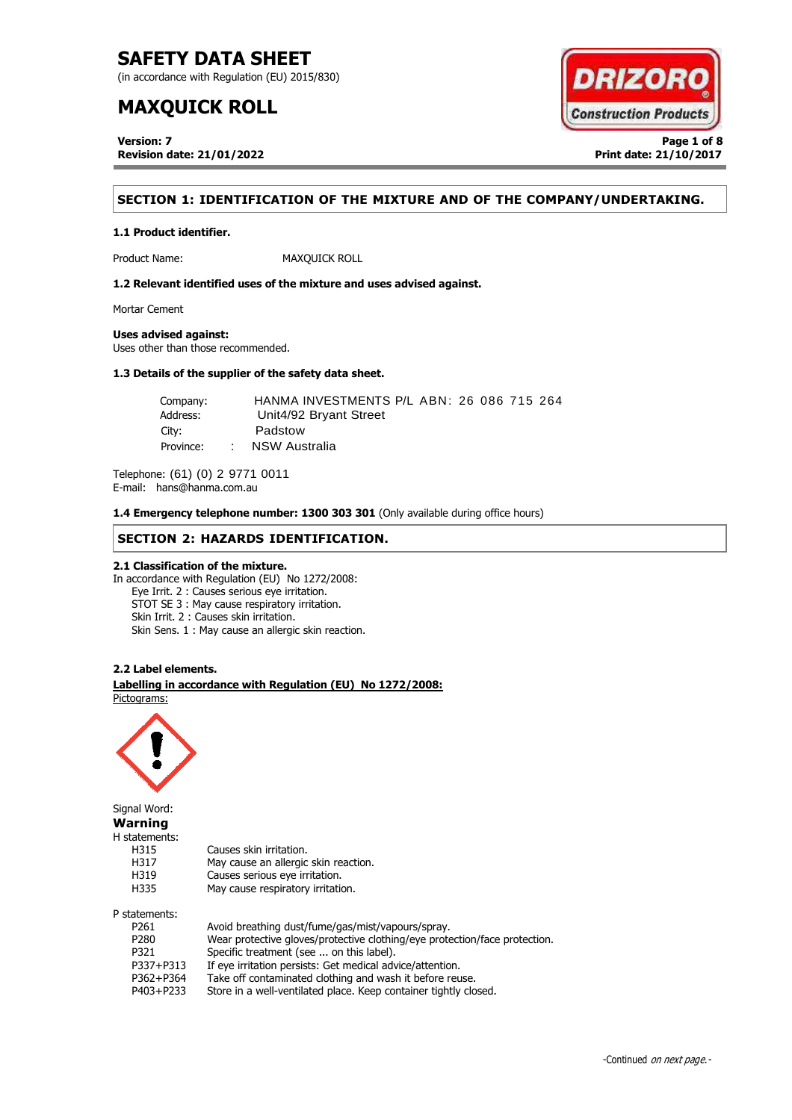(in accordance with Regulation (EU) 2015/830)

# **MAXQUICK ROLL**

**Version: 7 Page 1 of 8 Revision date: 21/01/2022 Print date: 21/10/2017**



# **SECTION 1: IDENTIFICATION OF THE MIXTURE AND OF THE COMPANY/UNDERTAKING.**

### **1.1 Product identifier.**

Product Name: MAXQUICK ROLL

**1.2 Relevant identified uses of the mixture and uses advised against.**

Mortar Cement

### **Uses advised against:**

Uses other than those recommended.

### **1.3 Details of the supplier of the safety data sheet.**

| Company:  | HANMA INVESTMENTS P/L ABN: 26 086 715 264 |  |
|-----------|-------------------------------------------|--|
| Address:  | Unit4/92 Bryant Street                    |  |
| City:     | Padstow                                   |  |
| Province: | NSW Australia                             |  |

Telephone: (61) (0) 2 9771 0011 E-mail: hans@hanma.com.au

**1.4 Emergency telephone number: 1300 303 301** (Only available during office hours)

## **SECTION 2: HAZARDS IDENTIFICATION.**

### **2.1 Classification of the mixture.**

In accordance with Regulation (EU) No 1272/2008: Eye Irrit. 2 : Causes serious eye irritation. STOT SE 3 : May cause respiratory irritation. Skin Irrit. 2 : Causes skin irritation. Skin Sens. 1 : May cause an allergic skin reaction.

### **2.2 Label elements.**

. **Labelling in accordance with Regulation (EU) No 1272/2008:** Pictograms:

May cause an allergic skin reaction.



Signal Word: **Warning** H statements: H315 Causes skin irritation.<br>H317 May cause an allergic H319 Causes serious eye irritation. H335 May cause respiratory irritation. P statements:

| P261             | Avoid breathing dust/fume/gas/mist/vapours/spray.                          |
|------------------|----------------------------------------------------------------------------|
| P <sub>280</sub> | Wear protective gloves/protective clothing/eye protection/face protection. |
| P321             | Specific treatment (see  on this label).                                   |
| P337+P313        | If eye irritation persists: Get medical advice/attention.                  |
| P362+P364        | Take off contaminated clothing and wash it before reuse.                   |
| P403+P233        | Store in a well-ventilated place. Keep container tightly closed.           |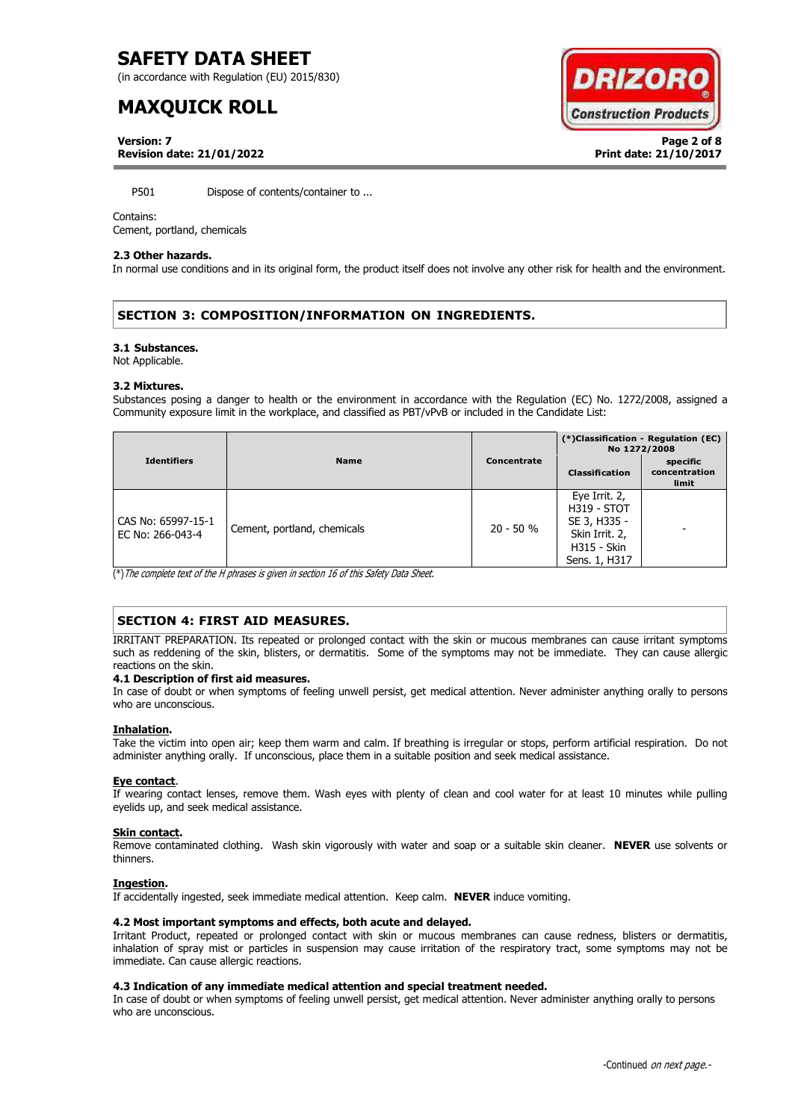(in accordance with Regulation (EU) 2015/830)

# **MAXQUICK ROLL**



**Version: 7 Page 2 of 8 Revision date: 21/01/2022 Print date: 21/10/2017**

P501 Dispose of contents/container to ...

### Contains:

Cement, portland, chemicals

### **2.3 Other hazards.**

In normal use conditions and in its original form, the product itself does not involve any other risk for health and the environment.

# **SECTION 3: COMPOSITION/INFORMATION ON INGREDIENTS.**

### **3.1 Substances.**

Not Applicable.

### **3.2 Mixtures.**

Substances posing a danger to health or the environment in accordance with the Regulation (EC) No. 1272/2008, assigned a Community exposure limit in the workplace, and classified as PBT/vPvB or included in the Candidate List:

|                                        |                             |             | (*)Classification - Regulation (EC)<br>No 1272/2008                                                          |                                    |
|----------------------------------------|-----------------------------|-------------|--------------------------------------------------------------------------------------------------------------|------------------------------------|
| <b>Identifiers</b>                     | <b>Name</b>                 | Concentrate | <b>Classification</b>                                                                                        | specific<br>concentration<br>limit |
| CAS No: 65997-15-1<br>EC No: 266-043-4 | Cement, portland, chemicals | $20 - 50 %$ | Eye Irrit. 2,<br><b>H319 - STOT</b><br>SE 3, H335 -<br>Skin Irrit. 2,<br><b>H315 - Skin</b><br>Sens. 1, H317 |                                    |

(\*)The complete text of the H phrases is given in section 16 of this Safety Data Sheet.

# **SECTION 4: FIRST AID MEASURES.**

IRRITANT PREPARATION. Its repeated or prolonged contact with the skin or mucous membranes can cause irritant symptoms such as reddening of the skin, blisters, or dermatitis. Some of the symptoms may not be immediate. They can cause allergic reactions on the skin.

### **4.1 Description of first aid measures.**

In case of doubt or when symptoms of feeling unwell persist, get medical attention. Never administer anything orally to persons who are unconscious.

### **Inhalation.**

Take the victim into open air; keep them warm and calm. If breathing is irregular or stops, perform artificial respiration. Do not administer anything orally. If unconscious, place them in a suitable position and seek medical assistance.

### **Eye contact**.

If wearing contact lenses, remove them. Wash eyes with plenty of clean and cool water for at least 10 minutes while pulling eyelids up, and seek medical assistance.

### **Skin contact.**

Remove contaminated clothing. Wash skin vigorously with water and soap or a suitable skin cleaner. **NEVER** use solvents or thinners.

### **Ingestion.**

If accidentally ingested, seek immediate medical attention. Keep calm. **NEVER** induce vomiting.

### **4.2 Most important symptoms and effects, both acute and delayed.**

Irritant Product, repeated or prolonged contact with skin or mucous membranes can cause redness, blisters or dermatitis, inhalation of spray mist or particles in suspension may cause irritation of the respiratory tract, some symptoms may not be immediate. Can cause allergic reactions.

### **4.3 Indication of any immediate medical attention and special treatment needed.**

In case of doubt or when symptoms of feeling unwell persist, get medical attention. Never administer anything orally to persons who are unconscious.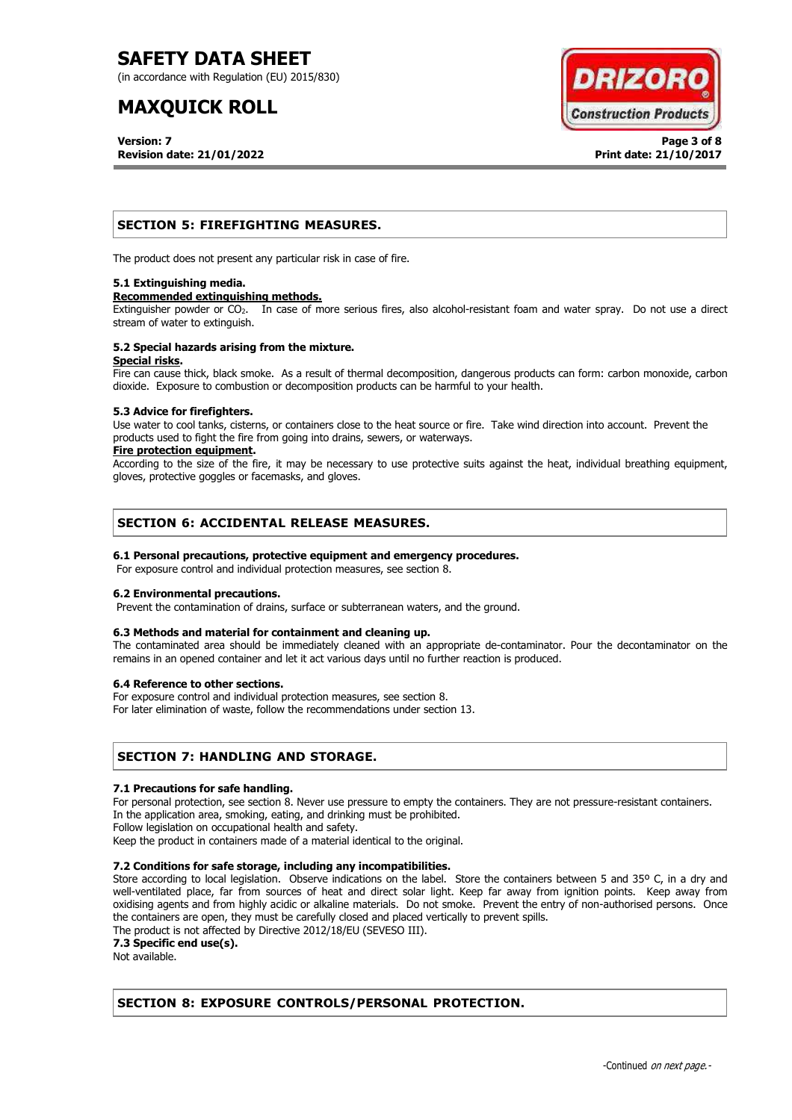(in accordance with Regulation (EU) 2015/830)

# **MAXQUICK ROLL**

**Version: 7 Page 3 of 8 Revision date: 21/01/2022 Print date: 21/10/2017**



## **SECTION 5: FIREFIGHTING MEASURES.**

The product does not present any particular risk in case of fire.

### **5.1 Extinguishing media.**

### **Recommended extinguishing methods.**

Extinguisher powder or CO<sub>2</sub>. In case of more serious fires, also alcohol-resistant foam and water spray. Do not use a direct stream of water to extinguish.

#### **5.2 Special hazards arising from the mixture. Special risks.**

Fire can cause thick, black smoke. As a result of thermal decomposition, dangerous products can form: carbon monoxide, carbon dioxide. Exposure to combustion or decomposition products can be harmful to your health.

### **5.3 Advice for firefighters.**

Use water to cool tanks, cisterns, or containers close to the heat source or fire. Take wind direction into account. Prevent the products used to fight the fire from going into drains, sewers, or waterways.

### **Fire protection equipment.**

According to the size of the fire, it may be necessary to use protective suits against the heat, individual breathing equipment, gloves, protective goggles or facemasks, and gloves.

## **SECTION 6: ACCIDENTAL RELEASE MEASURES.**

### **6.1 Personal precautions, protective equipment and emergency procedures.**

For exposure control and individual protection measures, see section 8.

### **6.2 Environmental precautions.**

Prevent the contamination of drains, surface or subterranean waters, and the ground.

### **6.3 Methods and material for containment and cleaning up.**

The contaminated area should be immediately cleaned with an appropriate de-contaminator. Pour the decontaminator on the remains in an opened container and let it act various days until no further reaction is produced.

### **6.4 Reference to other sections.**

For exposure control and individual protection measures, see section 8.

For later elimination of waste, follow the recommendations under section 13.

### **SECTION 7: HANDLING AND STORAGE.**

### **7.1 Precautions for safe handling.**

For personal protection, see section 8. Never use pressure to empty the containers. They are not pressure-resistant containers. In the application area, smoking, eating, and drinking must be prohibited.

Follow legislation on occupational health and safety.

Keep the product in containers made of a material identical to the original.

### **7.2 Conditions for safe storage, including any incompatibilities.**

Store according to local legislation. Observe indications on the label. Store the containers between 5 and 35° C, in a dry and well-ventilated place, far from sources of heat and direct solar light. Keep far away from ignition points. Keep away from oxidising agents and from highly acidic or alkaline materials. Do not smoke. Prevent the entry of non-authorised persons. Once the containers are open, they must be carefully closed and placed vertically to prevent spills.

The product is not affected by Directive 2012/18/EU (SEVESO III).

**7.3 Specific end use(s).**

Not available.

# **SECTION 8: EXPOSURE CONTROLS/PERSONAL PROTECTION.**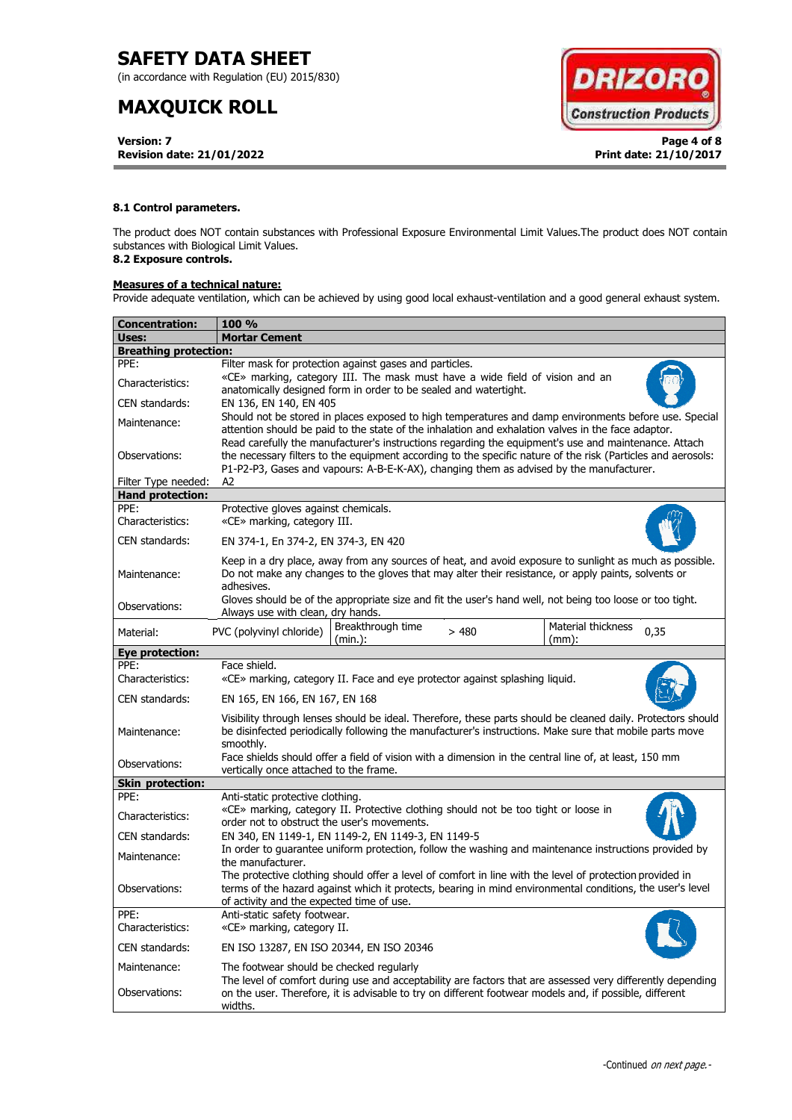(in accordance with Regulation (EU) 2015/830)

# **MAXQUICK ROLL**

**Version: 7 Page 4 of 8 Revision date: 21/01/2022 Print date: 21/10/2017**



### **8.1 Control parameters.**

The product does NOT contain substances with Professional Exposure Environmental Limit Values.The product does NOT contain substances with Biological Limit Values.

# **8.2 Exposure controls.**

## **Measures of a technical nature:**

Provide adequate ventilation, which can be achieved by using good local exhaust-ventilation and a good general exhaust system.

| <b>Concentration:</b>        | <b>100 %</b>                                                                                                                                                                                                                                                                                                        |  |  |  |  |
|------------------------------|---------------------------------------------------------------------------------------------------------------------------------------------------------------------------------------------------------------------------------------------------------------------------------------------------------------------|--|--|--|--|
| Uses:                        | <b>Mortar Cement</b>                                                                                                                                                                                                                                                                                                |  |  |  |  |
| <b>Breathing protection:</b> |                                                                                                                                                                                                                                                                                                                     |  |  |  |  |
| PPE:                         | Filter mask for protection against gases and particles.                                                                                                                                                                                                                                                             |  |  |  |  |
| Characteristics:             | «CE» marking, category III. The mask must have a wide field of vision and an<br>anatomically designed form in order to be sealed and watertight.                                                                                                                                                                    |  |  |  |  |
| CEN standards:               | EN 136, EN 140, EN 405                                                                                                                                                                                                                                                                                              |  |  |  |  |
| Maintenance:                 | Should not be stored in places exposed to high temperatures and damp environments before use. Special<br>attention should be paid to the state of the inhalation and exhalation valves in the face adaptor.<br>Read carefully the manufacturer's instructions regarding the equipment's use and maintenance. Attach |  |  |  |  |
| Observations:                | the necessary filters to the equipment according to the specific nature of the risk (Particles and aerosols:<br>P1-P2-P3, Gases and vapours: A-B-E-K-AX), changing them as advised by the manufacturer.                                                                                                             |  |  |  |  |
| Filter Type needed:          | A2                                                                                                                                                                                                                                                                                                                  |  |  |  |  |
| <b>Hand protection:</b>      |                                                                                                                                                                                                                                                                                                                     |  |  |  |  |
| PPE:<br>Characteristics:     | Protective gloves against chemicals.<br>«CE» marking, category III.                                                                                                                                                                                                                                                 |  |  |  |  |
| CEN standards:               | EN 374-1, En 374-2, EN 374-3, EN 420                                                                                                                                                                                                                                                                                |  |  |  |  |
| Maintenance:                 | Keep in a dry place, away from any sources of heat, and avoid exposure to sunlight as much as possible.<br>Do not make any changes to the gloves that may alter their resistance, or apply paints, solvents or<br>adhesives.                                                                                        |  |  |  |  |
| Observations:                | Gloves should be of the appropriate size and fit the user's hand well, not being too loose or too tight.<br>Always use with clean, dry hands.                                                                                                                                                                       |  |  |  |  |
| Material:                    | Breakthrough time<br>Material thickness<br>PVC (polyvinyl chloride)<br>0,35<br>>480<br>(min.):<br>$(mm)$ :                                                                                                                                                                                                          |  |  |  |  |
| Eye protection:              |                                                                                                                                                                                                                                                                                                                     |  |  |  |  |
| PPE:<br>Characteristics:     | Face shield.<br>«CE» marking, category II. Face and eye protector against splashing liquid.                                                                                                                                                                                                                         |  |  |  |  |
| CEN standards:               | EN 165, EN 166, EN 167, EN 168                                                                                                                                                                                                                                                                                      |  |  |  |  |
| Maintenance:                 | Visibility through lenses should be ideal. Therefore, these parts should be cleaned daily. Protectors should<br>be disinfected periodically following the manufacturer's instructions. Make sure that mobile parts move<br>smoothly.                                                                                |  |  |  |  |
| Observations:                | Face shields should offer a field of vision with a dimension in the central line of, at least, 150 mm<br>vertically once attached to the frame.                                                                                                                                                                     |  |  |  |  |
| <b>Skin protection:</b>      |                                                                                                                                                                                                                                                                                                                     |  |  |  |  |
| PPE:                         | Anti-static protective clothing.                                                                                                                                                                                                                                                                                    |  |  |  |  |
| Characteristics:             | «CE» marking, category II. Protective clothing should not be too tight or loose in<br>order not to obstruct the user's movements.                                                                                                                                                                                   |  |  |  |  |
| CEN standards:               | EN 340, EN 1149-1, EN 1149-2, EN 1149-3, EN 1149-5                                                                                                                                                                                                                                                                  |  |  |  |  |
| Maintenance:                 | In order to guarantee uniform protection, follow the washing and maintenance instructions provided by<br>the manufacturer.                                                                                                                                                                                          |  |  |  |  |
| Observations:                | The protective clothing should offer a level of comfort in line with the level of protection provided in<br>terms of the hazard against which it protects, bearing in mind environmental conditions, the user's level<br>of activity and the expected time of use.                                                  |  |  |  |  |
| PPE:<br>Characteristics:     | Anti-static safety footwear.<br>«CE» marking, category II.                                                                                                                                                                                                                                                          |  |  |  |  |
| CEN standards:               | EN ISO 13287, EN ISO 20344, EN ISO 20346                                                                                                                                                                                                                                                                            |  |  |  |  |
| Maintenance:                 | The footwear should be checked regularly                                                                                                                                                                                                                                                                            |  |  |  |  |
| Observations:                | The level of comfort during use and acceptability are factors that are assessed very differently depending<br>on the user. Therefore, it is advisable to try on different footwear models and, if possible, different<br>widths.                                                                                    |  |  |  |  |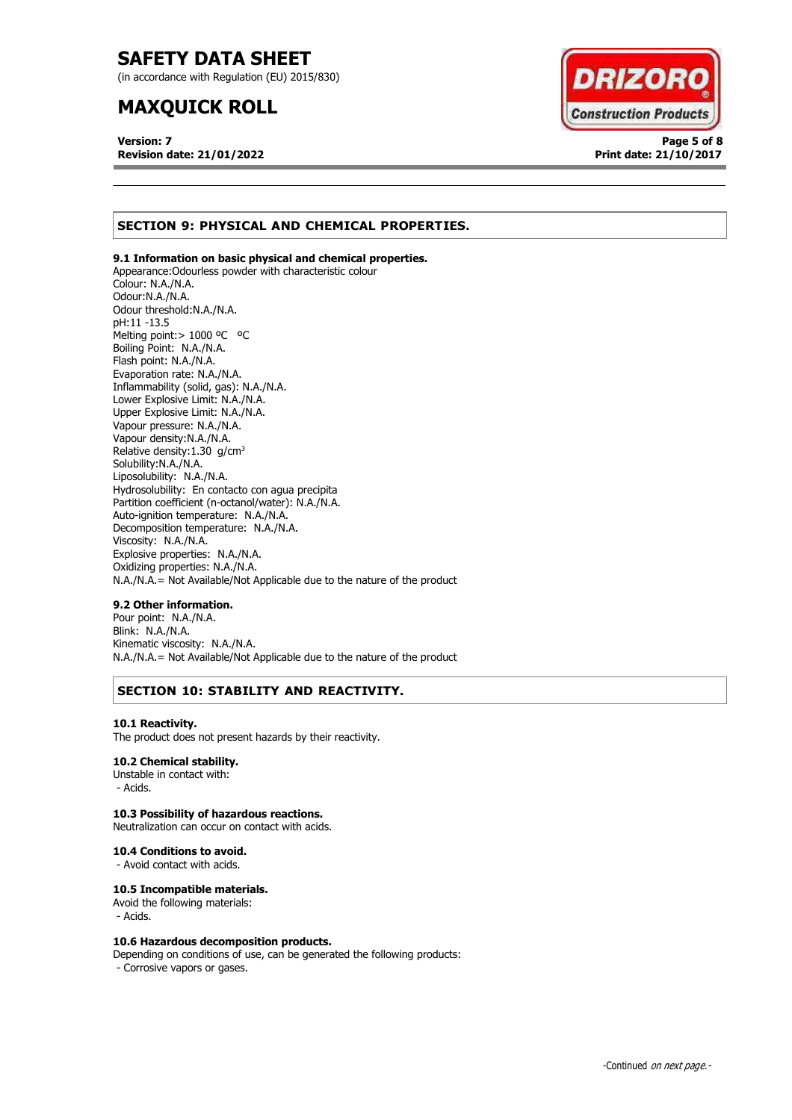(in accordance with Regulation (EU) 2015/830)

# **MAXQUICK ROLL**

**Version: 7 Page 5 of 8 Revision date: 21/01/2022 Print date: 21/10/2017**



# **SECTION 9: PHYSICAL AND CHEMICAL PROPERTIES.**

### **9.1 Information on basic physical and chemical properties.**

Appearance:Odourless powder with characteristic colour Colour: N.A./N.A. Odour:N.A./N.A. Odour threshold:N.A./N.A. pH:11 -13.5 Melting point: > 1000 °C °C Boiling Point: N.A./N.A. Flash point: N.A./N.A. Evaporation rate: N.A./N.A. Inflammability (solid, gas): N.A./N.A. Lower Explosive Limit: N.A./N.A. Upper Explosive Limit: N.A./N.A. Vapour pressure: N.A./N.A. Vapour density:N.A./N.A. Relative density:  $1.30$  g/cm<sup>3</sup> Solubility:N.A./N.A. Liposolubility: N.A./N.A. Hydrosolubility: En contacto con agua precipita Partition coefficient (n-octanol/water): N.A./N.A. Auto-ignition temperature: N.A./N.A. Decomposition temperature: N.A./N.A. Viscosity: N.A./N.A. Explosive properties: N.A./N.A. Oxidizing properties: N.A./N.A. N.A./N.A.= Not Available/Not Applicable due to the nature of the product

### **9.2 Other information.**

Pour point: N.A./N.A. Blink: N.A./N.A. Kinematic viscosity: N.A./N.A. N.A./N.A.= Not Available/Not Applicable due to the nature of the product

# **SECTION 10: STABILITY AND REACTIVITY.**

### **10.1 Reactivity.**

The product does not present hazards by their reactivity.

### **10.2 Chemical stability.**

Unstable in contact with: - Acids.

### **10.3 Possibility of hazardous reactions.**

Neutralization can occur on contact with acids.

#### **10.4 Conditions to avoid.**

- Avoid contact with acids.

### **10.5 Incompatible materials.**

Avoid the following materials: - Acids.

### **10.6 Hazardous decomposition products.**

Depending on conditions of use, can be generated the following products: - Corrosive vapors or gases.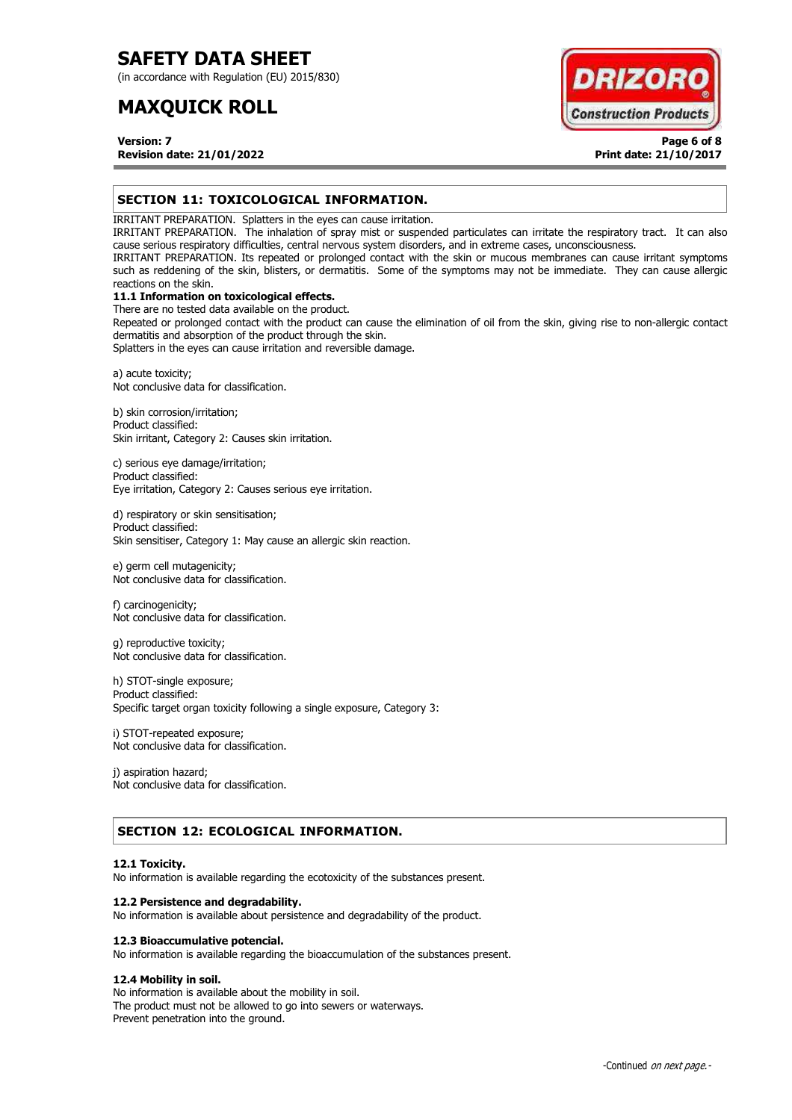(in accordance with Regulation (EU) 2015/830)

# **MAXQUICK ROLL**



**Version: 7 Page 6 of 8 Revision date: 21/01/2022 Print date: 21/10/2017**

# **SECTION 11: TOXICOLOGICAL INFORMATION.**

IRRITANT PREPARATION. Splatters in the eyes can cause irritation.

IRRITANT PREPARATION. The inhalation of spray mist or suspended particulates can irritate the respiratory tract. It can also cause serious respiratory difficulties, central nervous system disorders, and in extreme cases, unconsciousness.

IRRITANT PREPARATION. Its repeated or prolonged contact with the skin or mucous membranes can cause irritant symptoms such as reddening of the skin, blisters, or dermatitis. Some of the symptoms may not be immediate. They can cause allergic reactions on the skin.

# **11.1 Information on toxicological effects.**

There are no tested data available on the product. Repeated or prolonged contact with the product can cause the elimination of oil from the skin, giving rise to non-allergic contact dermatitis and absorption of the product through the skin.

Splatters in the eyes can cause irritation and reversible damage.

a) acute toxicity; Not conclusive data for classification.

b) skin corrosion/irritation; Product classified: Skin irritant, Category 2: Causes skin irritation.

c) serious eye damage/irritation; Product classified: Eye irritation, Category 2: Causes serious eye irritation.

d) respiratory or skin sensitisation; Product classified: Skin sensitiser, Category 1: May cause an allergic skin reaction.

e) germ cell mutagenicity; Not conclusive data for classification.

f) carcinogenicity; Not conclusive data for classification.

g) reproductive toxicity; Not conclusive data for classification.

h) STOT-single exposure; Product classified: Specific target organ toxicity following a single exposure, Category 3:

i) STOT-repeated exposure; Not conclusive data for classification.

j) aspiration hazard; Not conclusive data for classification.

# **SECTION 12: ECOLOGICAL INFORMATION.**

### **12.1 Toxicity.**

No information is available regarding the ecotoxicity of the substances present.

### **12.2 Persistence and degradability.**

No information is available about persistence and degradability of the product.

### **12.3 Bioaccumulative potencial.**

No information is available regarding the bioaccumulation of the substances present.

## **12.4 Mobility in soil.**

No information is available about the mobility in soil. The product must not be allowed to go into sewers or waterways. Prevent penetration into the ground.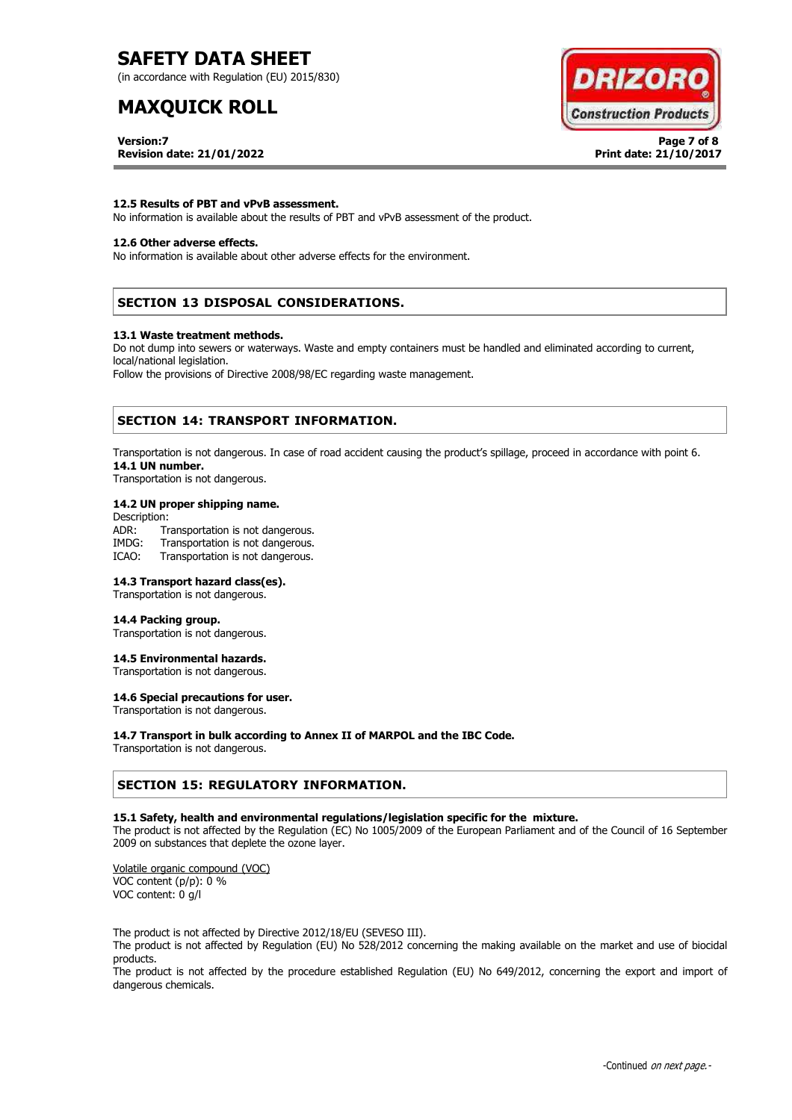(in accordance with Regulation (EU) 2015/830)

# **MAXQUICK ROLL**



**Version:7 Page 7 of 8 Revision date: 21/01/2022 Print date: 21/10/2017**

### **12.5 Results of PBT and vPvB assessment.**

No information is available about the results of PBT and vPvB assessment of the product.

### **12.6 Other adverse effects.**

No information is available about other adverse effects for the environment.

# **SECTION 13 DISPOSAL CONSIDERATIONS.**

#### **13.1 Waste treatment methods.**

Do not dump into sewers or waterways. Waste and empty containers must be handled and eliminated according to current, local/national legislation.

Follow the provisions of Directive 2008/98/EC regarding waste management.

## **SECTION 14: TRANSPORT INFORMATION.**

Transportation is not dangerous. In case of road accident causing the product's spillage, proceed in accordance with point 6. **14.1 UN number.**

Transportation is not dangerous.

### **14.2 UN proper shipping name.**

Description: ADR: Transportation is not dangerous.<br>IMDG: Transportation is not dangerous. Transportation is not dangerous. ICAO: Transportation is not dangerous.

#### **14.3 Transport hazard class(es).**

Transportation is not dangerous.

#### **14.4 Packing group.**

Transportation is not dangerous.

### **14.5 Environmental hazards.**

Transportation is not dangerous.

### **14.6 Special precautions for user.**

Transportation is not dangerous.

#### **14.7 Transport in bulk according to Annex II of MARPOL and the IBC Code.**

Transportation is not dangerous.

### **SECTION 15: REGULATORY INFORMATION.**

#### **15.1 Safety, health and environmental regulations/legislation specific for the mixture.**

The product is not affected by the Regulation (EC) No 1005/2009 of the European Parliament and of the Council of 16 September 2009 on substances that deplete the ozone layer.

Volatile organic compound (VOC) VOC content (p/p): 0 % VOC content: 0 g/l

The product is not affected by Directive 2012/18/EU (SEVESO III).

The product is not affected by Regulation (EU) No 528/2012 concerning the making available on the market and use of biocidal products.

The product is not affected by the procedure established Regulation (EU) No 649/2012, concerning the export and import of dangerous chemicals.